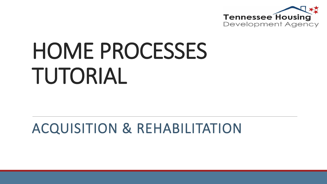

# HOME PROCESSES TUTORIAL

#### ACQUISITION & REHABILITATION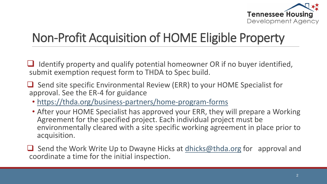

#### Non-Profit Acquisition of HOME Eligible Property

 Identify property and qualify potential homeowner OR if no buyer identified, submit exemption request form to THDA to Spec build.

- $\Box$  Send site specific Environmental Review (ERR) to your HOME Specialist for approval. See the ER-4 for guidance
	- <https://thda.org/business-partners/home-program-forms>
	- After your HOME Specialist has approved your ERR, they will prepare a Working Agreement for the specified project. Each individual project must be environmentally cleared with a site specific working agreement in place prior to acquisition.

 $\Box$  Send the Work Write Up to Dwayne Hicks at [dhicks@thda.org](mailto:dhicks@thda.org) for approval and coordinate a time for the initial inspection.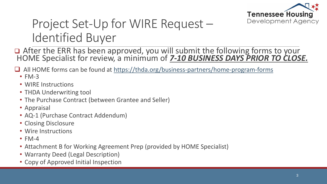

#### Project Set-Up for WIRE Request – Identified Buyer

□ After the ERR has been approved, you will submit the following forms to your HOME Specialist for review, a minimum of *7-10 BUSINESS DAYS PRIOR TO CLOSE.*

 $\Box$  All HOME forms can be found at <https://thda.org/business-partners/home-program-forms>

- FM-3
- WIRE Instructions
- THDA Underwriting tool
- The Purchase Contract (between Grantee and Seller)
- Appraisal
- AQ-1 (Purchase Contract Addendum)
- Closing Disclosure
- Wire Instructions
- $\cdot$  FM-4
- Attachment B for Working Agreement Prep (provided by HOME Specialist)
- Warranty Deed (Legal Description)
- Copy of Approved Initial Inspection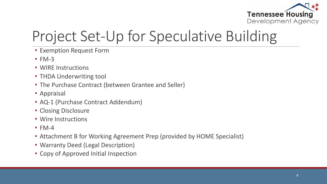

### Project Set-Up for Speculative Building

- Exemption Request Form
- $\cdot$  FM-3
- WIRE Instructions
- THDA Underwriting tool
- The Purchase Contract (between Grantee and Seller)
- Appraisal
- AQ-1 (Purchase Contract Addendum)
- Closing Disclosure
- Wire Instructions
- $\cdot$  FM-4
- Attachment B for Working Agreement Prep (provided by HOME Specialist)
- Warranty Deed (Legal Description)
- Copy of Approved Initial Inspection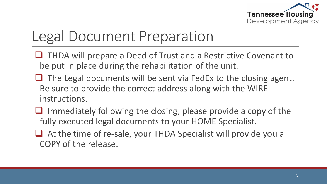

#### Legal Document Preparation

- **□ THDA will prepare a Deed of Trust and a Restrictive Covenant to** be put in place during the rehabilitation of the unit.
- $\Box$  The Legal documents will be sent via FedEx to the closing agent. Be sure to provide the correct address along with the WIRE instructions.
- $\Box$  Immediately following the closing, please provide a copy of the fully executed legal documents to your HOME Specialist.
- $\Box$  At the time of re-sale, your THDA Specialist will provide you a COPY of the release.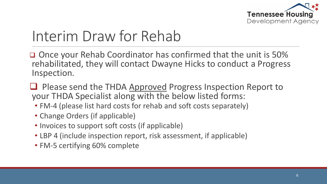

#### Interim Draw for Rehab

□ Once your Rehab Coordinator has confirmed that the unit is 50% rehabilitated, they will contact Dwayne Hicks to conduct a Progress Inspection.

 $\Box$  Please send the THDA Approved Progress Inspection Report to your THDA Specialist along with the below listed forms:

- FM-4 (please list hard costs for rehab and soft costs separately)
- Change Orders (if applicable)
- Invoices to support soft costs (if applicable)
- LBP 4 (include inspection report, risk assessment, if applicable)
- FM-5 certifying 60% complete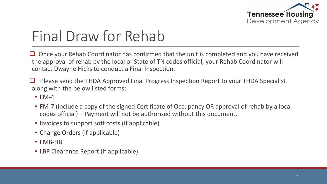

#### Final Draw for Rehab

 Once your Rehab Coordinator has confirmed that the unit is completed and you have received the approval of rehab by the local or State of TN codes official, your Rehab Coordinator will contact Dwayne Hicks to conduct a Final Inspection.

 Please send the THDA Approved Final Progress Inspection Report to your THDA Specialist along with the below listed forms:

- $\cdot$  FM-4
- FM-7 (include a copy of the signed Certificate of Occupancy OR approval of rehab by a local codes official) – Payment will not be authorized without this document.
- Invoices to support soft costs (if applicable)
- Change Orders (if applicable)
- FM8-HB
- LBP Clearance Report (if applicable)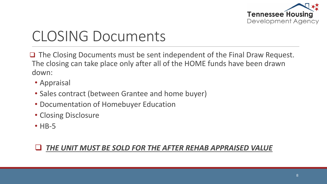

#### CLOSING Documents

 $\Box$  The Closing Documents must be sent independent of the Final Draw Request. The closing can take place only after all of the HOME funds have been drawn down:

- Appraisal
- Sales contract (between Grantee and home buyer)
- Documentation of Homebuyer Education
- Closing Disclosure
- **HB-5**

#### *THE UNIT MUST BE SOLD FOR THE AFTER REHAB APPRAISED VALUE*